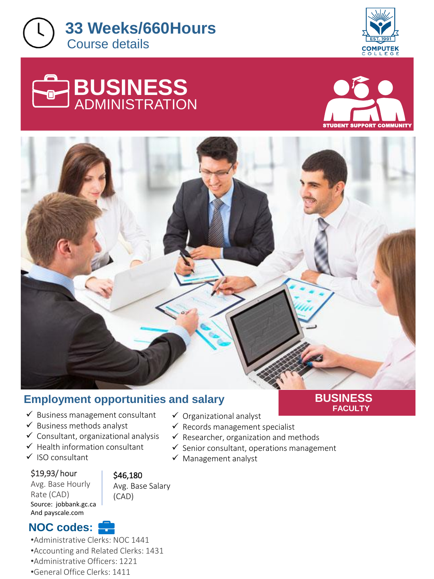







**FACULTY**



# **Employment opportunities and salary**

- ✓ Business management consultant
- ✓ Business methods analyst
- $\checkmark$  Consultant, organizational analysis
- $\checkmark$  Health information consultant
- ✓ ISO consultant

#### \$19,93/ hour

Avg. Base Hourly Rate (CAD) Source: jobbank.gc.ca And payscale.com

#### \$46,180 Avg. Base Salary

(CAD)

# **NOC codes:**

•Administrative Clerks: NOC 1441 •Accounting and Related Clerks: 1431

- •Administrative Officers: 1221
- •General Office Clerks: 1411
- ✓ Organizational analyst
- $\checkmark$  Records management specialist
- $\checkmark$  Researcher, organization and methods
- $\checkmark$  Senior consultant, operations management
- ✓ Management analyst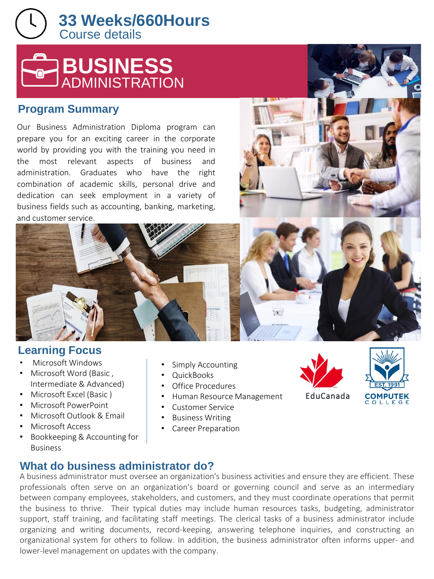Course details **33 Weeks/660Hours** 



## **Program Summary**

Our Business Administration Diploma program can prepare you for an exciting career in the corporate world by providing you with the training you need in the most relevant aspects of business and administration. Graduates who have the right combination of academic skills, personal drive and dedication can seek employment in a variety of business fields such as accounting, banking, marketing, and customer service.



# **Learning Focus**

- Microsoft Windows
- Microsoft Word (Basic , Intermediate & Advanced)
- Microsoft Excel (Basic )
- Microsoft PowerPoint
- Microsoft Outlook & Email
- Microsoft Access
- Bookkeeping & Accounting for Business
- Simply Accounting
- QuickBooks
- Office Procedures
- Human Resource Management
- Customer Service
- Business Writing
- Career Preparation





**What do business administrator do?**

A business administrator must oversee an organization's business activities and ensure they are efficient. These professionals often serve on an organization's board or governing council and serve as an intermediary between company employees, stakeholders, and customers, and they must coordinate operations that permit the business to thrive. Their typical duties may include human resources tasks, budgeting, administrator support, staff training, and facilitating staff meetings. The clerical tasks of a business administrator include organizing and writing documents, record-keeping, answering telephone inquiries, and constructing an organizational system for others to follow. In addition, the business administrator often informs upper- and lower-level management on updates with the company.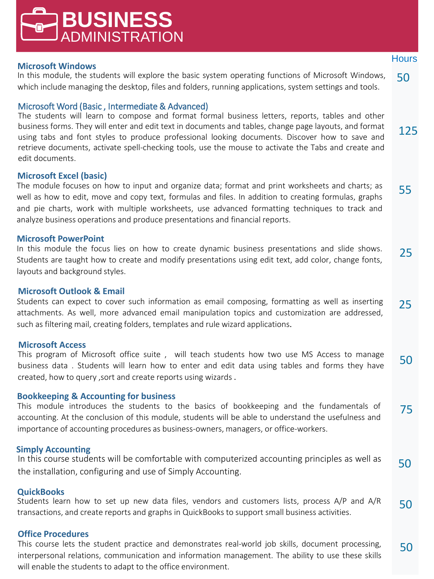### This course lets the student practice and demonstrates real-world job skills, document processing, interpersonal relations, communication and information management. The ability to use these skills will enable the students to adapt to the office environment.

**Microsoft Windows** 

In this module, the students will explore the basic system operating functions of Microsoft Windows, which include managing the desktop, files and folders, running applications, system settings and tools.

#### Microsoft Word (Basic , Intermediate & Advanced)

**BUSINESS**

ADMINISTRATION

125 The students will learn to compose and format formal business letters, reports, tables and other business forms. They will enter and edit text in documents and tables, change page layouts, and format using tabs and font styles to produce professional looking documents. Discover how to save and retrieve documents, activate spell-checking tools, use the mouse to activate the Tabs and create and edit documents.

#### **Microsoft Excel (basic)**

The module focuses on how to input and organize data; format and print worksheets and charts; as well as how to edit, move and copy text, formulas and files. In addition to creating formulas, graphs and pie charts, work with multiple worksheets, use advanced formatting techniques to track and analyze business operations and produce presentations and financial reports. 55

#### **Microsoft PowerPoint**

In this module the focus lies on how to create dynamic business presentations and slide shows. Students are taught how to create and modify presentations using edit text, add color, change fonts, layouts and background styles. 25

#### **Microsoft Outlook & Email**

Students can expect to cover such information as email composing, formatting as well as inserting attachments. As well, more advanced email manipulation topics and customization are addressed, such as filtering mail, creating folders, templates and rule wizard applications. 25

#### **Microsoft Access**

This program of Microsoft office suite , will teach students how two use MS Access to manage business data . Students will learn how to enter and edit data using tables and forms they have created, how to query ,sort and create reports using wizards . 50

#### **Bookkeeping & Accounting for business**

75 This module introduces the students to the basics of bookkeeping and the fundamentals of accounting. At the conclusion of this module, students will be able to understand the usefulness and importance of accounting procedures as business-owners, managers, or office-workers.

#### **Simply Accounting**

50 In this course students will be comfortable with computerized accounting principles as well as the installation, configuring and use of Simply Accounting.

#### **QuickBooks**

50 Students learn how to set up new data files, vendors and customers lists, process A/P and A/R transactions, and create reports and graphs in QuickBooks to support small business activities.

#### **Office Procedures**

50



50

**Hours**